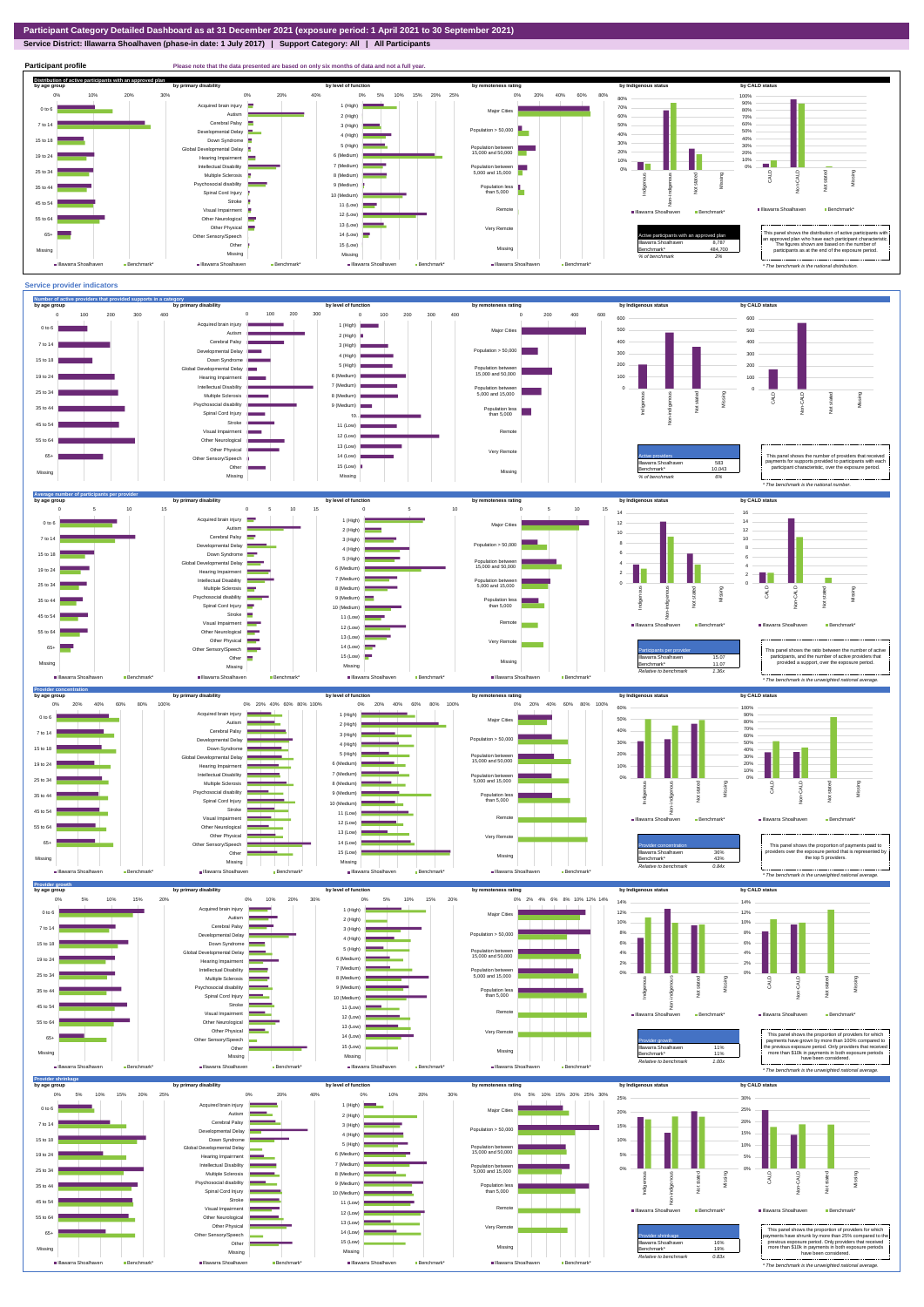**Service District: Illawarra Shoalhaven (phase-in date: 1 July 2017) | Support Category: All | All Participants**



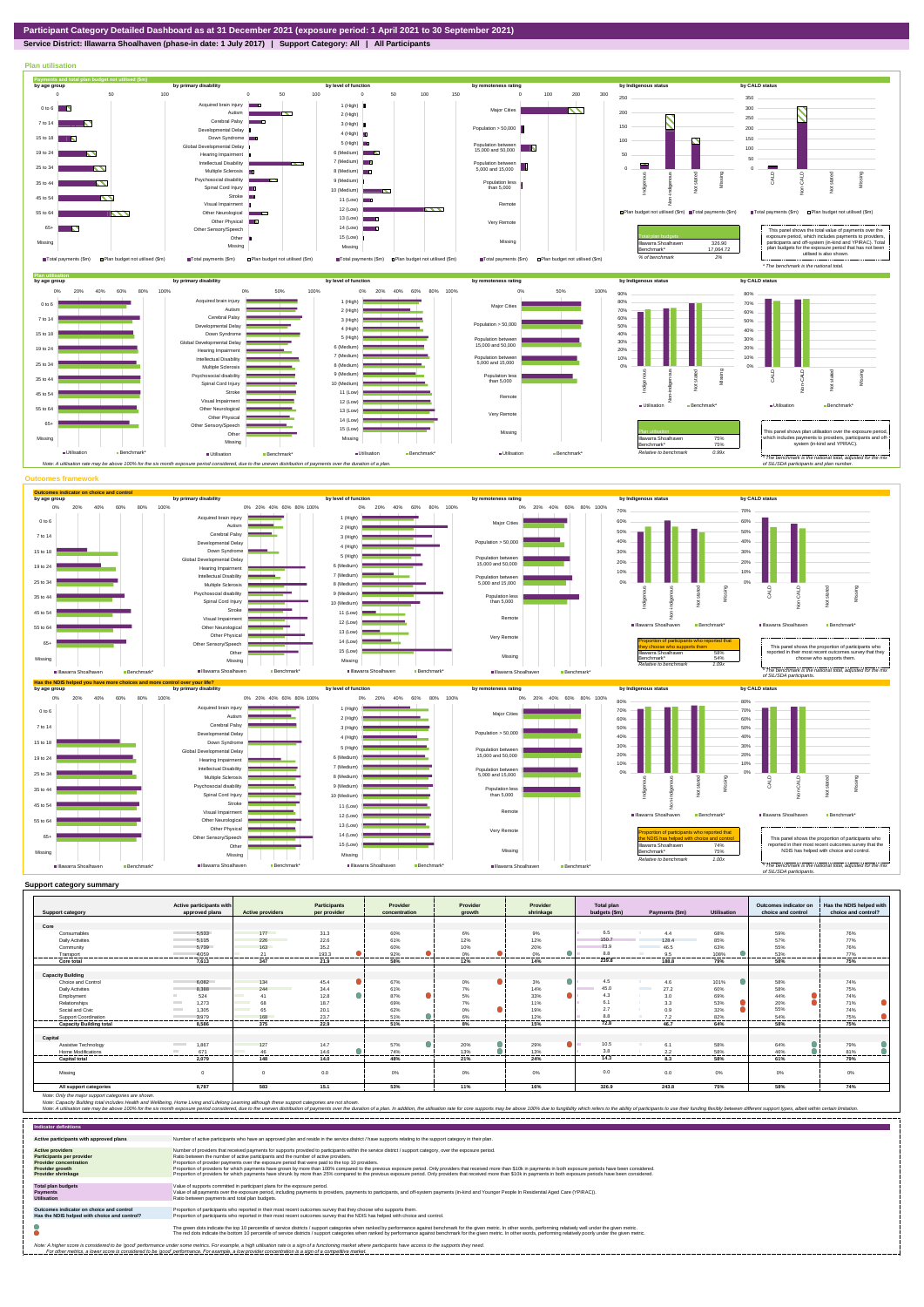**Service District: Illawarra Shoalhaven (phase-in date: 1 July 2017) | Support Category: All | All Participants**



|                                | Active participants with          |                                | <b>Participants</b> | Provider      | Provider           | Provider        | Total plan     |                         |             | Outcomes indicator on | Has the NDIS helped with |
|--------------------------------|-----------------------------------|--------------------------------|---------------------|---------------|--------------------|-----------------|----------------|-------------------------|-------------|-----------------------|--------------------------|
| <b>Support category</b>        | approved plans                    | <b>Active providers</b>        | per provider        | concentration | arowth             | shrinkage       | budgets (\$m)  | Payments (\$m)          | Utilisation | choice and control    | choice and control?      |
| Core                           |                                   |                                |                     |               |                    |                 |                |                         |             |                       |                          |
| Consumables                    | 5.533                             | 177                            | 31.3                | 60%           | 6%                 | 9%              | 6.5            | 4.4                     | 68%         | 59%                   | 76%                      |
| <b>Daily Activities</b>        | 5.115                             | 226                            | 22.6                | 61%           | 12%                | 12%             | 150.7          | 128.4                   | 85%         | 57%                   | 77%                      |
| Community                      | 5.739                             | 163                            | 35.2                | 60%           | 10%                | 20%             | 73.9           | 46.5                    | 63%         | 55%                   | 76%                      |
| Transport                      | 4.059                             | 21                             | 193.3               | 92%           | 0%                 | o<br>0%         | 8.8            | 9.5                     | 108%        | 53%                   | 77%                      |
| Core total                     | 7.613                             | ------<br>347                  | 21.9                | ------<br>58% | <br>12%            | 14%             | 239.8          | 188.8                   | 79%         | -----<br>58%          | ------<br>75%            |
|                                |                                   |                                |                     |               |                    |                 |                |                         |             |                       |                          |
| <b>Capacity Building</b>       |                                   |                                |                     |               |                    |                 |                |                         |             |                       |                          |
| Choice and Control             | 6,082                             | 134                            | 45.4                | 67%           | $\bullet$<br>$0\%$ | $\bullet$<br>3% | 4.5            | 4.6                     | 101%        | 58%                   | 74%                      |
| <b>Daily Activities</b>        | 8.388                             | 244                            | 34.4                | 61%           | 7%                 | 14%             | 45.0           | <b>Contract</b><br>27.2 | 60%         | 58%                   | 75%                      |
| Employment                     | 524                               | 41                             | 12.8                | 87%           | 5%                 | 33%             | 4.3            | 3.0<br>m                | 69%         | 44%                   | 74%                      |
| Relationships                  | 1.273                             | 68<br><b>Contract</b>          | 18.7                | 69%           | 7%                 | 11%             | 6.1            | 3.3                     | 53%         | 20%                   | 71%                      |
| Social and Civic               | 1,305<br><b>Contract</b>          | 65<br><b>Contract Contract</b> | 20.1                | 62%           | 0%                 | 19%             | 2.7            | 0.9                     | 32%         | 55%                   | 74%                      |
| Support Coordination           | 3.979                             | 168                            | 23.7                | 51%           | 6%                 | 12%             | R <sub>5</sub> | 7.2                     | 82%         | 54%                   | 75%                      |
| <b>Capacity Building total</b> | 8.586                             | 375                            | <br>22.9            | 51%           | <br>8%             | 15%             | .<br>72.8      | 46.7                    | 64%         | <br>58%               | -------<br>75%           |
|                                |                                   |                                |                     |               |                    |                 |                |                         |             |                       |                          |
| Capital                        |                                   |                                |                     |               |                    |                 |                |                         |             |                       |                          |
| Assistive Technology           | <b>Contract Contract</b><br>1.867 | 127                            | 14.7                | 57%           | 20%                | 29%             | 10.5           | 6.1                     | 58%         | 64%                   | 79%                      |
| Home Modifications             | 671<br>$\sim$                     | 46                             | 14.6                | 74%           | 13%                | 13%             | 3.8            | 2.2                     | 58%         | 46%                   | 81%                      |
| <b>Capital total</b>           | 2.079                             | 148                            | 14.0                | 48%           | 21%                | 24%             | 14.3           | 8.3                     | 58%         | 61%                   | 79%                      |
| Missina                        | $\sim$                            |                                | 0.0                 | 0%            | 0%                 | 0%              | 0.0            | 0.0                     | 0%          | 0%                    | 0%                       |
| All support categories         | 8,787                             | 583                            | 15.1                | 53%           | 11%                | 16%             | 326.9          | 243.8                   | 75%         | 58%                   | 74%                      |

Note: Only the major support categories are shown.<br>Note: Capacity Building total individual Wellbeing, Home Living and Lifelong Learning although these support categories are not shown.<br>Note: A utilisation rate may be abov

| <b>Indicator definitions</b>                                                                                                                        |                                                                                                                                                                                                                                                                                                                                                                                                                                                                                                                                                                                                                                                                                                                                                                                                                 |
|-----------------------------------------------------------------------------------------------------------------------------------------------------|-----------------------------------------------------------------------------------------------------------------------------------------------------------------------------------------------------------------------------------------------------------------------------------------------------------------------------------------------------------------------------------------------------------------------------------------------------------------------------------------------------------------------------------------------------------------------------------------------------------------------------------------------------------------------------------------------------------------------------------------------------------------------------------------------------------------|
| Active participants with approved plans                                                                                                             | Number of active participants who have an approved plan and reside in the service district / have supports relating to the support category in their plan.                                                                                                                                                                                                                                                                                                                                                                                                                                                                                                                                                                                                                                                      |
| <b>Active providers</b><br><b>Participants per provider</b><br><b>Provider concentration</b><br><b>Provider growth</b><br><b>Provider shrinkage</b> | Number of providers that received payments for supports provided to participants within the service district / support category, over the exposure period.<br>Ratio between the number of active participants and the number of active providers.<br>Proportion of provider payments over the exposure period that were paid to the top 10 providers.<br>Proportion of providers for which payments have grown by more than 100% compared to the previous exposure period. Only providers that received more than \$10k in payments in both exposure periods have been considered.<br>Proportion of providers for which payments have shrunk by more than 25% compared to the previous exposure period. Only providers that received more than \$10k in payments in both exposure periods have been considered. |
| <b>Total plan budgets</b><br><b>Payments</b><br><b>Utilisation</b>                                                                                  | Value of supports committed in participant plans for the exposure period.<br>Value of all payments over the exposure period, including payments to providers, payments to participants, and off-system payments (in-kind and Younger People In Residential Aged Care (YPIRAC)).<br>Ratio between payments and total plan budgets.                                                                                                                                                                                                                                                                                                                                                                                                                                                                               |
| Outcomes indicator on choice and control<br>Has the NDIS helped with choice and control?                                                            | Proportion of participants who reported in their most recent outcomes survey that they choose who supports them.<br>Proportion of participants who reported in their most recent outcomes survey that the NDIS has helped with choice and control.                                                                                                                                                                                                                                                                                                                                                                                                                                                                                                                                                              |
|                                                                                                                                                     | The green dots indicate the top 10 percentile of service districts / support categories when ranked by performance against benchmark for the given metric. In other words, performing relatively well under the given metric.<br>The red dots indicate the bottom 10 percentile of service districts / support categories when ranked by performance against benchmark for the given metric. In other words, performing relatively poorly under the given metri                                                                                                                                                                                                                                                                                                                                                 |
|                                                                                                                                                     | Note: A higher score is considered to be 'good' performance under some metrics. For example, a high utilisation rate is a sign of a functioning market where participants have access to the supports they need.<br>For other metrics, a lower score is considered to be 'good' performance. For example, a low provider concentration is a sign of a competitive market.                                                                                                                                                                                                                                                                                                                                                                                                                                       |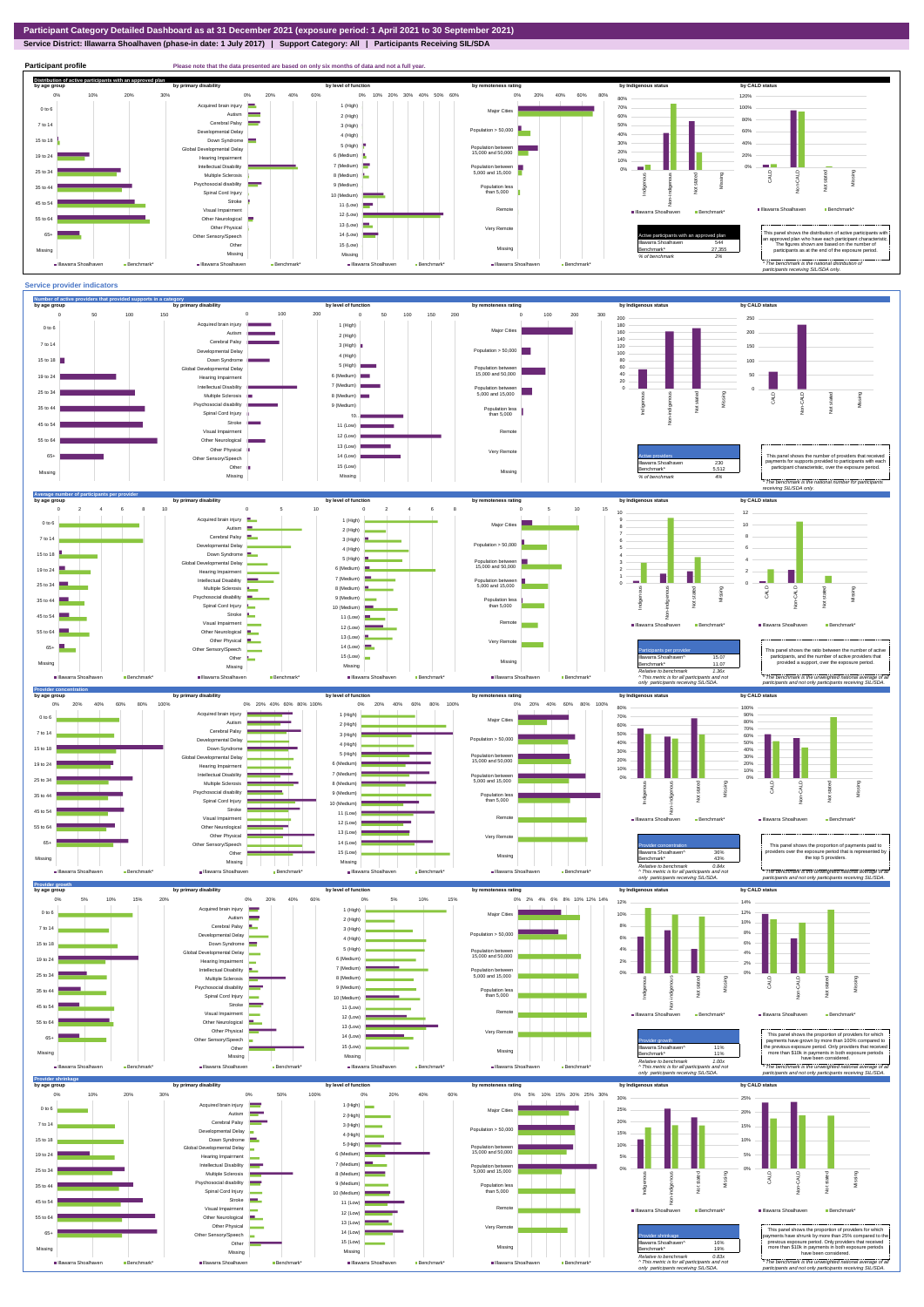**Service District: Illawarra Shoalhaven (phase-in date: 1 July 2017) | Support Category: All | Participants Receiving SIL/SDA**



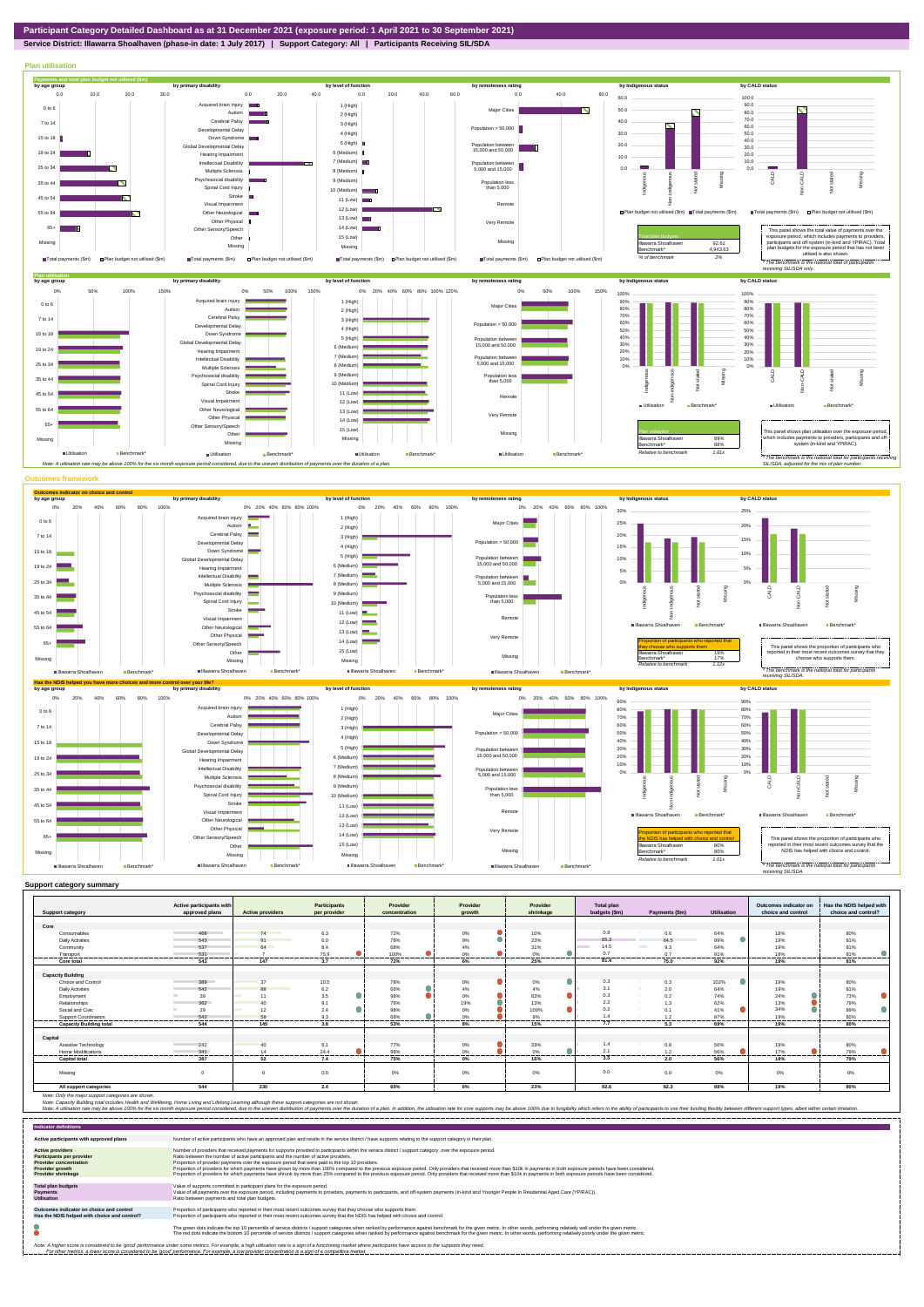

**Service District: Illawarra Shoalhaven (phase-in date: 1 July 2017) | Support Category: All | Participants Receiving SIL/SDA**



|                                                                                                                                                                                                       | Active participants with<br>approved plans | <b>Active providers</b> | <b>Participants</b><br>per provider | Provider      | Provider       | Provider  | <b>Total plan</b> |                  |                    | Outcomes indicator on<br>choice and control | Has the NDIS helped with                                                                                                                                                                                                       |
|-------------------------------------------------------------------------------------------------------------------------------------------------------------------------------------------------------|--------------------------------------------|-------------------------|-------------------------------------|---------------|----------------|-----------|-------------------|------------------|--------------------|---------------------------------------------|--------------------------------------------------------------------------------------------------------------------------------------------------------------------------------------------------------------------------------|
| <b>Support category</b>                                                                                                                                                                               |                                            |                         |                                     | concentration | growth         | shrinkage | budgets (\$m)     | Payments (\$m)   | <b>Utilisation</b> |                                             | choice and control?                                                                                                                                                                                                            |
| Core                                                                                                                                                                                                  |                                            |                         |                                     |               |                |           |                   |                  |                    |                                             |                                                                                                                                                                                                                                |
| Consumables                                                                                                                                                                                           | 468                                        | 74                      | 6.3                                 | 72%           | 0%             | 10%       | 0.9               | 0.6              | 64%                | 18%                                         | 80%                                                                                                                                                                                                                            |
| <b>Daily Activities</b>                                                                                                                                                                               | 543                                        | 91                      | 6.0                                 | 78%           | ۸<br>9%        | 23%       | 65.3              | 64.5             | 99%                | 19%                                         | 81%                                                                                                                                                                                                                            |
| Community                                                                                                                                                                                             | 537                                        | 64                      | 8.4                                 | 68%           | 4%             | 31%       | 14.5              | 9.3              | 64%                | 19%                                         | 81%                                                                                                                                                                                                                            |
| Transport<br>. <b>.</b>                                                                                                                                                                               | 531<br>                                    |                         | 75.9                                | 100%<br>      | 0%<br>-------- | 0%        | 0.7<br>-------    | 0.7<br>          | 91%<br>            | 18%<br>.                                    | 81%<br>---------                                                                                                                                                                                                               |
| Core total                                                                                                                                                                                            | 543                                        | 147                     | .<br>3.7                            | 72%           | 6%             | .<br>25%  | 81.4              | 75.0             | 92%                | 19%                                         | 81%                                                                                                                                                                                                                            |
| <b>Capacity Building</b>                                                                                                                                                                              |                                            |                         |                                     |               |                |           |                   |                  |                    |                                             |                                                                                                                                                                                                                                |
| Choice and Control                                                                                                                                                                                    | 389                                        | 37                      | 10.5                                | 78%           | 0%             | 0%        | 0.3               | 0.3              | 102%               | 19%                                         | 80%                                                                                                                                                                                                                            |
| <b>Daily Activities</b>                                                                                                                                                                               | 542                                        | 88                      | 6.2                                 | 66%           | 4%             | 4%        | 3.1               | 2.0              | 64%                | 19%                                         | 81%                                                                                                                                                                                                                            |
| Employment                                                                                                                                                                                            | 39                                         | 11                      | 3.5                                 | 98%           | 0%             | 83%       | 0.3               | 0.2<br>- 22      | 74%                | 24%                                         | 73%                                                                                                                                                                                                                            |
| Relationships                                                                                                                                                                                         | 362                                        |                         | 9.1                                 | 76%           | 19%            | 13%       | 2.2               | 1.3              | 62%                | 13%                                         | 79%                                                                                                                                                                                                                            |
| Social and Civic                                                                                                                                                                                      | 29                                         | 12                      | 2.4                                 | 98%           | 0%             | 100%      | 0.2               | 0.1              | 41%                | 34%                                         | 89%                                                                                                                                                                                                                            |
| Support Coordination                                                                                                                                                                                  | 542                                        | 58                      | 9.3                                 | 68%           | 0%             | 9%        | 14                | 1.2              | 87%                | 19%                                         | 80%                                                                                                                                                                                                                            |
| <b>Capacity Building total</b>                                                                                                                                                                        | 544                                        | 145                     | <br>3.8                             | 53%           | <br>8%         | <br>15%   | 7.7               | <br>5.3          | 69%                | ------<br>19%                               | 80%                                                                                                                                                                                                                            |
| Capital                                                                                                                                                                                               |                                            |                         |                                     |               |                |           |                   |                  |                    |                                             |                                                                                                                                                                                                                                |
| Assistive Technology                                                                                                                                                                                  | 242                                        | 40                      | 6.1                                 | 77%           | $0\%$          | 33%       | 1.4               | 0.8              | 56%                | 19%                                         | 80%                                                                                                                                                                                                                            |
| Home Modifications                                                                                                                                                                                    | 341                                        | 14                      | 24.4                                | 98%           | 0%             | 0%        | 2.1               | 1.2              | 56%                | 17%                                         | 79%                                                                                                                                                                                                                            |
| <b>Capital tota</b>                                                                                                                                                                                   | .<br>387                                   | 52                      | .<br>7.4                            | <br>75%       | -----<br>0%    | 16%       | 3.5               | ---------<br>2.0 | 56%                | ------<br>18%                               | 79%                                                                                                                                                                                                                            |
| Missina                                                                                                                                                                                               |                                            |                         | 0.0                                 | 0%            | 0%             | 0%        | 0.0               | 0.0              | 0%                 | 0%                                          | 0%                                                                                                                                                                                                                             |
| All support categories                                                                                                                                                                                | 544                                        | 230                     | 2.4                                 | 69%           | 6%             | 23%       | 92.6              | 82.3             | 89%                | 19%                                         | 80%                                                                                                                                                                                                                            |
| Note: Only the major support categories are shown.<br>Note: Capacity Building total includes Health and Wellbeing, Home Living and Lifelong Learning although these support categories are not shown. |                                            |                         |                                     |               |                |           |                   |                  |                    |                                             | Note: A utilisation rate may be above 100% for the six month exposure period considered, due to the uneven distribution of payments over the duration of a plan. In addition, the utilisation rate for core supports may be ab |

| <b>Indicator definitions</b>                                                                                                                 |                                                                                                                                                                                                                                                                                                                                                                                                                                                                                                                                                                                                                                                                                                                                                                                                                 |
|----------------------------------------------------------------------------------------------------------------------------------------------|-----------------------------------------------------------------------------------------------------------------------------------------------------------------------------------------------------------------------------------------------------------------------------------------------------------------------------------------------------------------------------------------------------------------------------------------------------------------------------------------------------------------------------------------------------------------------------------------------------------------------------------------------------------------------------------------------------------------------------------------------------------------------------------------------------------------|
| Active participants with approved plans                                                                                                      | Number of active participants who have an approved plan and reside in the service district / have supports relating to the support category in their plan.                                                                                                                                                                                                                                                                                                                                                                                                                                                                                                                                                                                                                                                      |
| <b>Active providers</b><br>Participants per provider<br><b>Provider concentration</b><br><b>Provider growth</b><br><b>Provider shrinkage</b> | Number of providers that received payments for supports provided to participants within the service district / support category, over the exposure period,<br>Ratio between the number of active participants and the number of active providers.<br>Proportion of provider payments over the exposure period that were paid to the top 10 providers.<br>Proportion of providers for which payments have grown by more than 100% compared to the previous exposure period. Only providers that received more than \$10k in payments in both exposure periods have been considered.<br>Proportion of providers for which payments have shrunk by more than 25% compared to the previous exposure period. Only providers that received more than \$10k in payments in both exposure periods have been considered. |
| <b>Total plan budgets</b><br>Payments<br><b>Utilisation</b>                                                                                  | Value of supports committed in participant plans for the exposure period.<br>Value of all payments over the exposure period, including payments to providers, payments to participants, and off-system payments (in-kind and Younger People In Residential Aged Care (YPIRAC)).<br>Ratio between payments and total plan budgets.                                                                                                                                                                                                                                                                                                                                                                                                                                                                               |
| Outcomes indicator on choice and control<br>Has the NDIS helped with choice and control?                                                     | Proportion of participants who reported in their most recent outcomes survey that they choose who supports them.<br>Proportion of participants who reported in their most recent outcomes survey that the NDIS has helped with choice and control.                                                                                                                                                                                                                                                                                                                                                                                                                                                                                                                                                              |
|                                                                                                                                              | The green dots indicate the top 10 percentile of service districts / support categories when ranked by performance against benchmark for the given metric. In other words, performing relatively well under the given metric.<br>The red dots indicate the bottom 10 percentile of service districts / support categories when ranked by performance against benchmark for the given metric. In other words, performing relatively poorly under the given metri                                                                                                                                                                                                                                                                                                                                                 |
|                                                                                                                                              | Note: A higher score is considered to be 'good' performance under some metrics. For example, a high utilisation rate is a sign of a functioning market where participants have access to the supports they need.<br>For other metrics, a lower score is considered to be 'good' performance. For example, a low provider concentration is a sign of a competitive market.                                                                                                                                                                                                                                                                                                                                                                                                                                       |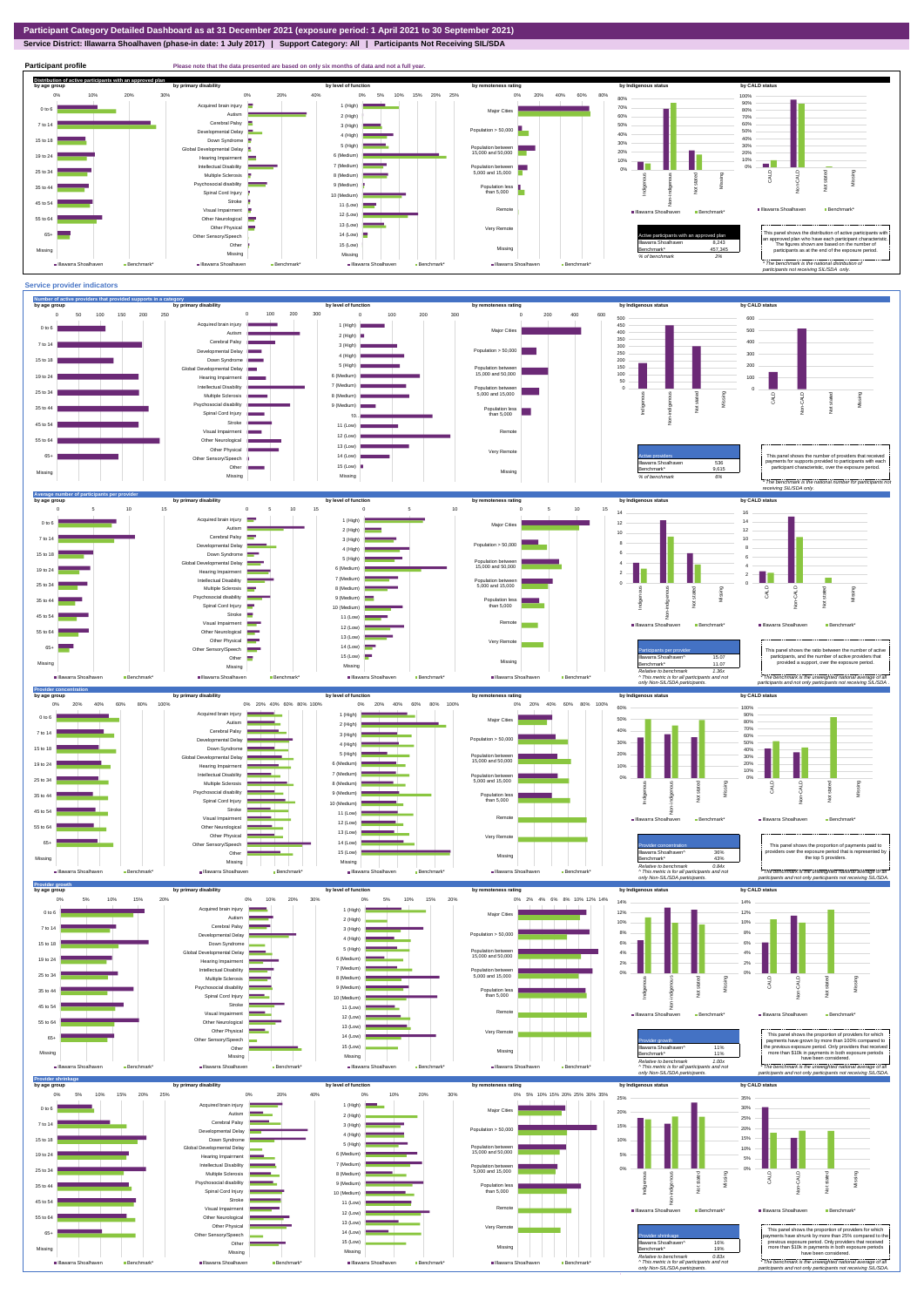**Service District: Illawarra Shoalhaven (phase-in date: 1 July 2017) | Support Category: All | Participants Not Receiving SIL/SDA**

**Participant profile Please note that the data presented are based on only six months of data and not a full year. Distribution of active participants with an approved plan** by age group by primary disability by remoteness rating by hdigenous status by CALD status 0% 5% 10% 15% 20% 25% 0% 20% 40% 60% 80% 0% 10% 20% 30% 0% 20% 40% 80% 100% d brain injury 90% 1 (High)  $\blacksquare$ 70% 0 to 6 Major Cities 80% ÷. Autism **III** 2 (High) 60% 70% Cerebral Palsy 60% 7 to 14 3 (High) 50% Population > 50,000 ental Delay 40% 40% 50% 4 (High) 15 to 18 Down Syndrome 5 (High) 30% 30% Global Developmental Delay Population between 15,000 and 50,000 20% 20% 6 (Medium) 19 to 24 Hearing Impairment  $\equiv$ 10% 10% п. n e Intellectual Disability 7 (Medium) 0% Population between 5,000 and 15,000 0% Missing 25 to 34 Multiple Sclerosis CALD Non-CALD 8 (Medium) anous Non-indigenous .<br>cial disability Missing Indigeno 9 (Medium) Population less than 5,000  $\overline{z}$ 35 to 44  $\frac{1}{2}$ Spinal Cord Injury Ť 10 (Medium) Stroke 45 to 54 ÷ å 11 (Low) Remote Illawarra Shoalhaven Benchmark Visual Impairment Illawarra Shoalhaven Benchmark' 12 (Low) 55 to 64 Other Neurological 13 (Low) ÷ Other Physical Very Remote Active participants with an approved plan This panel shows the distribution of active participants with an approved plan who have each participant characteristic. 65+ Sensory/Speech 14 (Low) Other 15 (Low) Illawarra Shoalhaven 8,243 The figures shown are based on the number of participants as at the end of the exposure period. Missing  $457,345$ Missing Missing Missing *% of benchmark 2% The benchmark is the natio participants not receiving SIL/SDA only.* Illawarra Shoalhaven Benchmark\* Illawarra Shoalhaven Benchmark ■Illawarra Shoalhaven Benchmark Illawarra Shoalhaven Benchmark